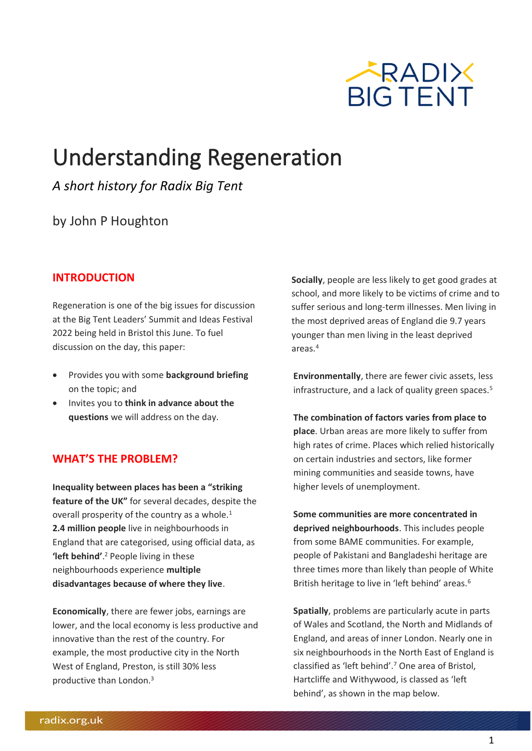

# Understanding Regeneration

*A short history for Radix Big Tent*

by John P Houghton

### **INTRODUCTION**

Regeneration is one of the big issues for discussion at the Big Tent Leaders' Summit and Ideas Festival 2022 being held in Bristol this June. To fuel discussion on the day, this paper:

- Provides you with some **background briefing** on the topic; and
- Invites you to **think in advance about the questions** we will address on the day.

#### **WHAT'S THE PROBLEM?**

**Inequality between places has been a "striking feature of the UK"** for several decades, despite the overall prosperity of the country as a whole.<sup>1</sup> **2.4 million people** live in neighbourhoods in England that are categorised, using official data, as **'left behind'**. <sup>2</sup> People living in these neighbourhoods experience **multiple disadvantages because of where they live**.

**Economically**, there are fewer jobs, earnings are lower, and the local economy is less productive and innovative than the rest of the country. For example, the most productive city in the North West of England, Preston, is still 30% less productive than London.<sup>3</sup>

**Socially**, people are less likely to get good grades at school, and more likely to be victims of crime and to suffer serious and long-term illnesses. Men living in the most deprived areas of England die 9.7 years younger than men living in the least deprived areas. 4

**Environmentally**, there are fewer civic assets, less infrastructure, and a lack of quality green spaces.<sup>5</sup>

**The combination of factors varies from place to place**. Urban areas are more likely to suffer from high rates of crime. Places which relied historically on certain industries and sectors, like former mining communities and seaside towns, have higher levels of unemployment.

**Some communities are more concentrated in deprived neighbourhoods**. This includes people from some BAME communities. For example, people of Pakistani and Bangladeshi heritage are three times more than likely than people of White British heritage to live in 'left behind' areas.<sup>6</sup>

**Spatially**, problems are particularly acute in parts of Wales and Scotland, the North and Midlands of England, and areas of inner London. Nearly one in six neighbourhoods in the North East of England is classified as 'left behind'.<sup>7</sup> One area of Bristol, Hartcliffe and Withywood, is classed as 'left behind', as shown in the map below.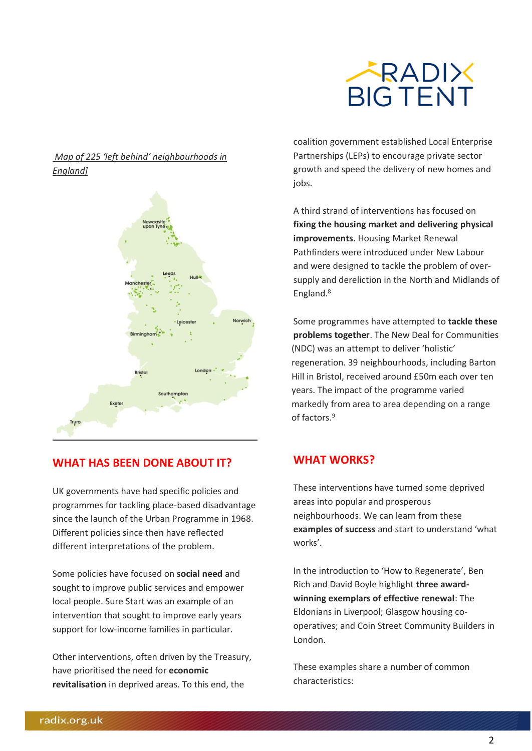

#### *[Map of 225 'left behind' neighbourhoods in](https://www.appg-leftbehindneighbourhoods.org.uk/wp-content/uploads/2020/07/Communities-at-risk-the-early-impact-of-COVID-19-on-left-behind-neighbourhoods.pdf%5d)  [England\]](https://www.appg-leftbehindneighbourhoods.org.uk/wp-content/uploads/2020/07/Communities-at-risk-the-early-impact-of-COVID-19-on-left-behind-neighbourhoods.pdf%5d)*



#### **WHAT HAS BEEN DONE ABOUT IT?**

UK governments have had specific policies and programmes for tackling place-based disadvantage since the launch of the Urban Programme in 1968. Different policies since then have reflected different interpretations of the problem.

Some policies have focused on **social need** and sought to improve public services and empower local people. Sure Start was an example of an intervention that sought to improve early years support for low-income families in particular.

Other interventions, often driven by the Treasury, have prioritised the need for **economic revitalisation** in deprived areas. To this end, the

coalition government established Local Enterprise Partnerships (LEPs) to encourage private sector growth and speed the delivery of new homes and jobs.

A third strand of interventions has focused on **fixing the housing market and delivering physical improvements**. Housing Market Renewal Pathfinders were introduced under New Labour and were designed to tackle the problem of oversupply and dereliction in the North and Midlands of England.<sup>8</sup>

Some programmes have attempted to **tackle these problems together**. The New Deal for Communities (NDC) was an attempt to deliver 'holistic' regeneration. 39 neighbourhoods, including Barton Hill in Bristol, received around £50m each over ten years. The impact of the programme varied markedly from area to area depending on a range of factors.<sup>9</sup>

#### **WHAT WORKS?**

These interventions have turned some deprived areas into popular and prosperous neighbourhoods. We can learn from these **examples of success** and start to understand 'what works'.

In the introduction to 'How to Regenerate', Ben Rich and David Boyle highlight **three awardwinning exemplars of effective renewal**: The Eldonians in Liverpool; Glasgow housing cooperatives; and Coin Street Community Builders in London.

These examples share a number of common characteristics: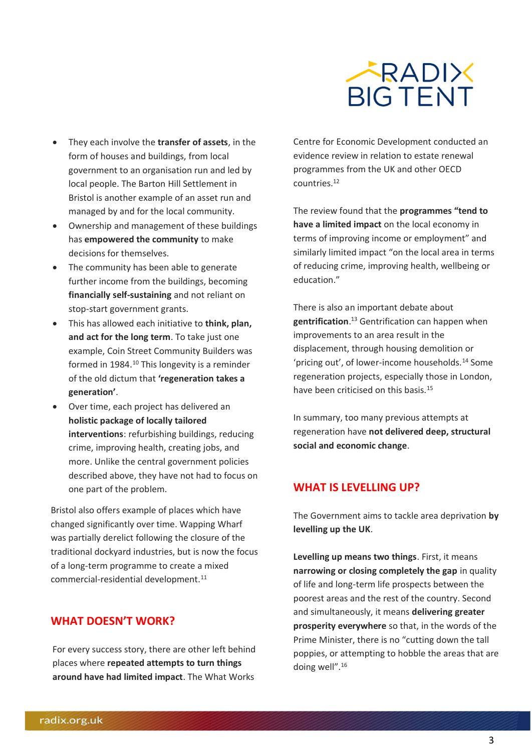

- They each involve the **transfer of assets**, in the form of houses and buildings, from local government to an organisation run and led by local people. The Barton Hill Settlement in Bristol is another example of an asset run and managed by and for the local community.
- Ownership and management of these buildings has **empowered the community** to make decisions for themselves.
- The community has been able to generate further income from the buildings, becoming **financially self-sustaining** and not reliant on stop-start government grants.
- This has allowed each initiative to **think, plan, and act for the long term**. To take just one example, Coin Street Community Builders was formed in 1984.<sup>10</sup> This longevity is a reminder of the old dictum that **'regeneration takes a generation'**.
- Over time, each project has delivered an **holistic package of locally tailored interventions**: refurbishing buildings, reducing crime, improving health, creating jobs, and more. Unlike the central government policies described above, they have not had to focus on one part of the problem.

Bristol also offers example of places which have changed significantly over time. Wapping Wharf was partially derelict following the closure of the traditional dockyard industries, but is now the focus of a long-term programme to create a mixed commercial-residential development.<sup>11</sup>

#### **WHAT DOESN'T WORK?**

For every success story, there are other left behind places where **repeated attempts to turn things around have had limited impact**. The What Works

Centre for Economic Development conducted an evidence review in relation to estate renewal programmes from the UK and other OECD countries.<sup>12</sup>

The review found that the **programmes "tend to have a limited impact** on the local economy in terms of improving income or employment" and similarly limited impact "on the local area in terms of reducing crime, improving health, wellbeing or education."

There is also an important debate about **gentrification**. <sup>13</sup> Gentrification can happen when improvements to an area result in the displacement, through housing demolition or 'pricing out', of lower-income households.<sup>14</sup> Some regeneration projects, especially those in London, have been criticised on this basis.<sup>15</sup>

In summary, too many previous attempts at regeneration have **not delivered deep, structural social and economic change**.

#### **WHAT IS LEVELLING UP?**

The Government aims to tackle area deprivation **by levelling up the UK**.

**Levelling up means two things**. First, it means **narrowing or closing completely the gap** in quality of life and long-term life prospects between the poorest areas and the rest of the country. Second and simultaneously, it means **delivering greater prosperity everywhere** so that, in the words of the Prime Minister, there is no "cutting down the tall poppies, or attempting to hobble the areas that are doing well".16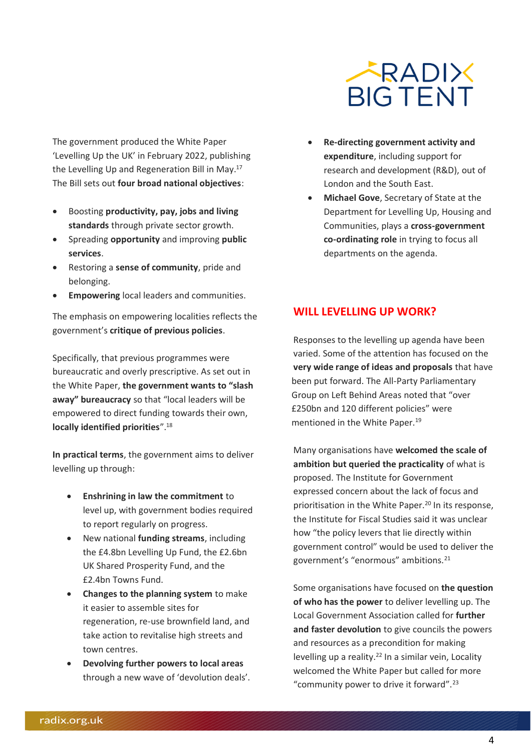

The government produced the White Paper 'Levelling Up the UK' in February 2022, publishing the Levelling Up and Regeneration Bill in May.<sup>17</sup> The Bill sets out **four broad national objectives**:

- Boosting **productivity, pay, jobs and living standards** through private sector growth.
- Spreading **opportunity** and improving **public services**.
- Restoring a **sense of community**, pride and belonging.
- **Empowering** local leaders and communities.

The emphasis on empowering localities reflects the government's **critique of previous policies**.

Specifically, that previous programmes were bureaucratic and overly prescriptive. As set out in the White Paper, **the government wants to "slash away" bureaucracy** so that "local leaders will be empowered to direct funding towards their own, **locally identified priorities**".<sup>18</sup>

**In practical terms**, the government aims to deliver levelling up through:

- **Enshrining in law the commitment** to level up, with government bodies required to report regularly on progress.
- New national **funding streams**, including the £4.8bn Levelling Up Fund, the £2.6bn UK Shared Prosperity Fund, and the £2.4bn Towns Fund.
- **Changes to the planning system** to make it easier to assemble sites for regeneration, re-use brownfield land, and take action to revitalise high streets and town centres.
- **Devolving further powers to local areas**  through a new wave of 'devolution deals'.
- **Re-directing government activity and expenditure**, including support for research and development (R&D), out of London and the South East.
- **Michael Gove**, Secretary of State at the Department for Levelling Up, Housing and Communities, plays a **cross-government co-ordinating role** in trying to focus all departments on the agenda.

#### **WILL LEVELLING UP WORK?**

Responses to the levelling up agenda have been varied. Some of the attention has focused on the **very wide range of ideas and proposals** that have been put forward. The All-Party Parliamentary Group on Left Behind Areas noted that "over £250bn and 120 different policies" were mentioned in the White Paper.<sup>19</sup>

Many organisations have **welcomed the scale of ambition but queried the practicality** of what is proposed. The Institute for Government expressed concern about the lack of focus and prioritisation in the White Paper.<sup>20</sup> In its response, the Institute for Fiscal Studies said it was unclear how "the policy levers that lie directly within government control" would be used to deliver the government's "enormous" ambitions.<sup>21</sup>

Some organisations have focused on **the question of who has the power** to deliver levelling up. The Local Government Association called for **further and faster devolution** to give councils the powers and resources as a precondition for making levelling up a reality. $^{22}$  In a similar vein, Locality welcomed the White Paper but called for more "community power to drive it forward".23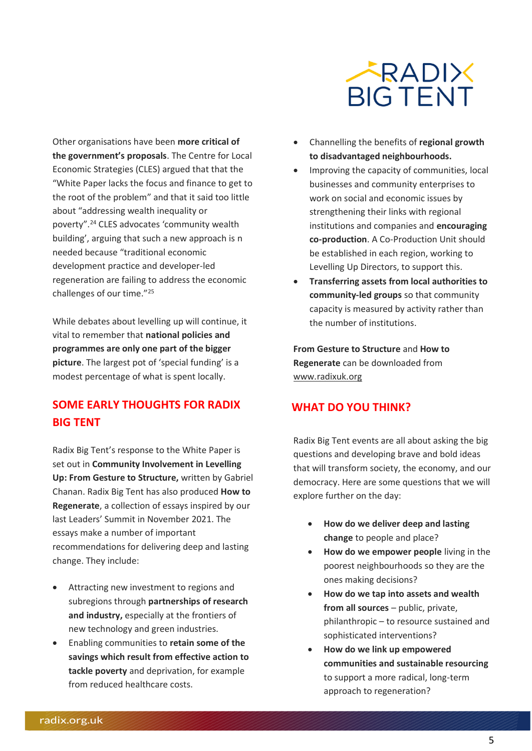

Other organisations have been **more critical of the government's proposals**. The Centre for Local Economic Strategies (CLES) argued that that the "White Paper lacks the focus and finance to get to the root of the problem" and that it said too little about "addressing wealth inequality or poverty".<sup>24</sup> CLES advocates 'community wealth building', arguing that such a new approach is n needed because "traditional economic development practice and developer-led regeneration are failing to address the economic challenges of our time."<sup>25</sup>

While debates about levelling up will continue, it vital to remember that **national policies and programmes are only one part of the bigger picture**. The largest pot of 'special funding' is a modest percentage of what is spent locally.

# **SOME EARLY THOUGHTS FOR RADIX BIG TENT**

Radix Big Tent's response to the White Paper is set out in **Community Involvement in Levelling Up: From Gesture to Structure,** written by Gabriel Chanan. Radix Big Tent has also produced **How to Regenerate**, a collection of essays inspired by our last Leaders' Summit in November 2021. The essays make a number of important recommendations for delivering deep and lasting change. They include:

- Attracting new investment to regions and subregions through **partnerships of research and industry,** especially at the frontiers of new technology and green industries.
- Enabling communities to **retain some of the savings which result from effective action to tackle poverty** and deprivation, for example from reduced healthcare costs.
- Channelling the benefits of **regional growth to disadvantaged neighbourhoods.**
- Improving the capacity of communities, local businesses and community enterprises to work on social and economic issues by strengthening their links with regional institutions and companies and **encouraging co-production**. A Co-Production Unit should be established in each region, working to Levelling Up Directors, to support this.
- **Transferring assets from local authorities to community-led groups** so that community capacity is measured by activity rather than the number of institutions.

**From Gesture to Structure** and **How to Regenerate** can be downloaded from [www.radixuk.org](http://www.radixuk.org/)

#### **WHAT DO YOU THINK?**

Radix Big Tent events are all about asking the big questions and developing brave and bold ideas that will transform society, the economy, and our democracy. Here are some questions that we will explore further on the day:

- **How do we deliver deep and lasting change** to people and place?
- **How do we empower people** living in the poorest neighbourhoods so they are the ones making decisions?
- **How do we tap into assets and wealth from all sources** – public, private, philanthropic – to resource sustained and sophisticated interventions?
- **How do we link up empowered communities and sustainable resourcing**  to support a more radical, long-term approach to regeneration?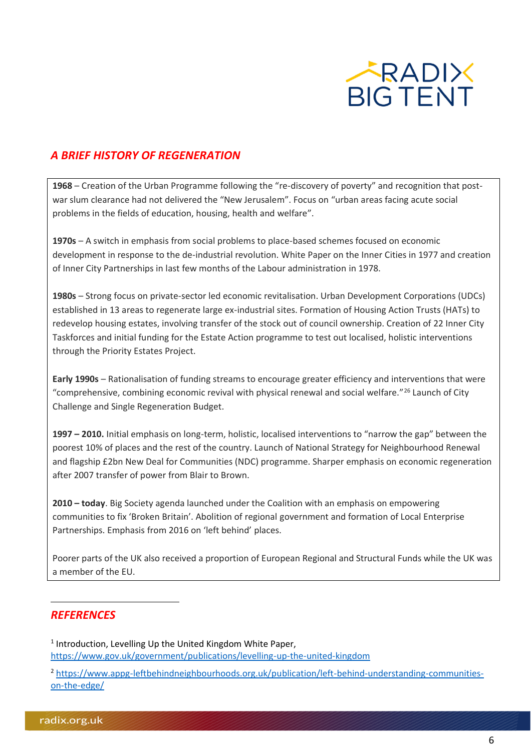

## *A BRIEF HISTORY OF REGENERATION*

**1968** – Creation of the Urban Programme following the "re-discovery of poverty" and recognition that postwar slum clearance had not delivered the "New Jerusalem". Focus on "urban areas facing acute social problems in the fields of education, housing, health and welfare".

**1970s** – A switch in emphasis from social problems to place-based schemes focused on economic development in response to the de-industrial revolution. White Paper on the Inner Cities in 1977 and creation of Inner City Partnerships in last few months of the Labour administration in 1978.

**1980s** – Strong focus on private-sector led economic revitalisation. Urban Development Corporations (UDCs) established in 13 areas to regenerate large ex-industrial sites. Formation of Housing Action Trusts (HATs) to redevelop housing estates, involving transfer of the stock out of council ownership. Creation of 22 Inner City Taskforces and initial funding for the Estate Action programme to test out localised, holistic interventions through the Priority Estates Project.

**Early 1990s** – Rationalisation of funding streams to encourage greater efficiency and interventions that were "comprehensive, combining economic revival with physical renewal and social welfare."<sup>26</sup> Launch of City Challenge and Single Regeneration Budget.

**1997 – 2010.** Initial emphasis on long-term, holistic, localised interventions to "narrow the gap" between the poorest 10% of places and the rest of the country. Launch of National Strategy for Neighbourhood Renewal and flagship £2bn New Deal for Communities (NDC) programme. Sharper emphasis on economic regeneration after 2007 transfer of power from Blair to Brown.

**2010 – today**. Big Society agenda launched under the Coalition with an emphasis on empowering communities to fix 'Broken Britain'. Abolition of regional government and formation of Local Enterprise Partnerships. Emphasis from 2016 on 'left behind' places.

Poorer parts of the UK also received a proportion of European Regional and Structural Funds while the UK was a member of the EU.

#### *REFERENCES*

<sup>1</sup> Introduction, Levelling Up the United Kingdom White Paper, <https://www.gov.uk/government/publications/levelling-up-the-united-kingdom>

<sup>2</sup> [https://www.appg-leftbehindneighbourhoods.org.uk/publication/left-behind-understanding-communities](https://www.appg-leftbehindneighbourhoods.org.uk/publication/left-behind-understanding-communities-on-the-edge/)[on-the-edge/](https://www.appg-leftbehindneighbourhoods.org.uk/publication/left-behind-understanding-communities-on-the-edge/)